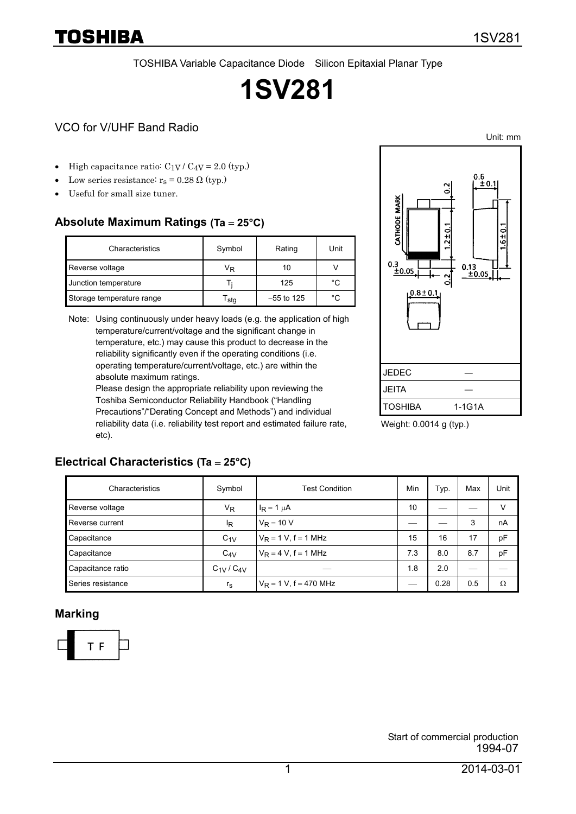TOSHIBA Variable Capacitance Diode Silicon Epitaxial Planar Type

# **1SV281**

#### VCO for V/UHF Band Radio

TOSHIBA

- High capacitance ratio:  $C_1V / C_4V = 2.0$  (typ.)
- Low series resistance:  $r_s = 0.28 \Omega$  (typ.)
- Useful for small size tuner.

#### **Absolute Maximum Ratings (Ta** = **25°C)**

| Characteristics           | Symbol | Rating       | Unit |
|---------------------------|--------|--------------|------|
| Reverse voltage           | VŖ     | 10           |      |
| Junction temperature      |        | 125          | °C   |
| Storage temperature range | sta    | $-55$ to 125 | °C   |

Note: Using continuously under heavy loads (e.g. the application of high temperature/current/voltage and the significant change in temperature, etc.) may cause this product to decrease in the reliability significantly even if the operating conditions (i.e. operating temperature/current/voltage, etc.) are within the absolute maximum ratings.

Please design the appropriate reliability upon reviewing the Toshiba Semiconductor Reliability Handbook ("Handling Precautions"/"Derating Concept and Methods") and individual reliability data (i.e. reliability test report and estimated failure rate, etc).



Weight: 0.0014 g (typ.)

#### **Electrical Characteristics (Ta** = **25°C)**

| Characteristics   | Symbol          | <b>Test Condition</b>     | Min | Typ. | Max | Unit |
|-------------------|-----------------|---------------------------|-----|------|-----|------|
| Reverse voltage   | V <sub>R</sub>  | $I_R = 1 \mu A$           | 10  |      |     | v    |
| Reverse current   | ΙR              | $V_R = 10 V$              |     |      | 3   | nA   |
| Capacitance       | $C_{1V}$        | $V_R = 1 V$ , f = 1 MHz   | 15  | 16   | 17  | pF   |
| Capacitance       | $C_{4V}$        | $V_R = 4 V, f = 1 MHz$    | 7.3 | 8.0  | 8.7 | pF   |
| Capacitance ratio | $C_{1V}/C_{4V}$ |                           | 1.8 | 2.0  |     |      |
| Series resistance | $r_{\rm s}$     | $V_R = 1 V$ , f = 470 MHz |     | 0.28 | 0.5 | Ω    |

#### **Marking**



Unit: mm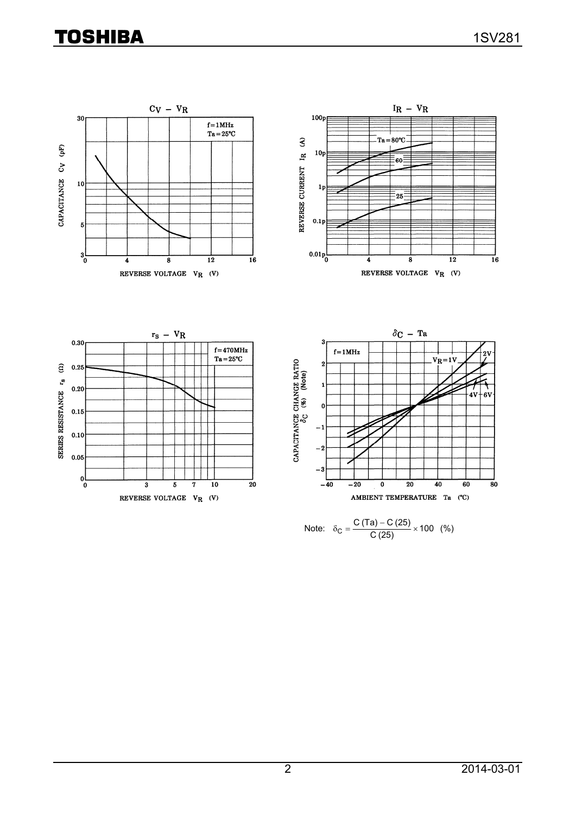## **TOSHIBA**



Note: 
$$
\delta_C = \frac{C (Ta) - C (25)}{C (25)} \times 100
$$
 (%)